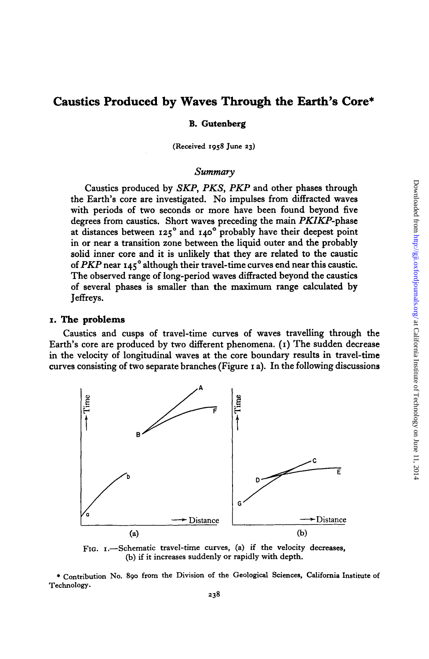# **Caustics Produced by Waves Through the Earth's Core\***

### **B.** Gutenberg

**(Received 1958 June 23)** 

### *Summary*

Caustics produced by SKP, *PKS,* PKP and other phases through the Earth's core are investigated. No impulses from diffracted waves with periods of two seconds or more have been found beyond five degrees from caustics. Short waves preceding the main PKIKP-phase at distances between 125' and 140' probably have their deepest point in or near a transition zone between the liquid outer and the probably solid inner core and it is unlikely that they are related to the caustic of PKP near 145' although their travel-time curves end near this caustic. The observed range of long-period waves diffracted beyond the caustics of several phases is smaller than the maximum range calculated by Jeffreys.

#### **I. The problems**

Caustics and cusps of travel-time curves of waves travelling through the Earth's core are produced by two different phenomena. (I) The sudden decrease in the velocity of longitudinal waves at the core boundary results in travel-time curves consisting of two separate branches (Figure I a). In the following discussions



FIG. 1.-Schematic travel-time curves, (a) if the velocity decreases, (b) if it increases suddenly **or** rapidly with depth.

\* **Contribution** No. **890 from the Division of the Geological Sciences, California Institute of Technology.**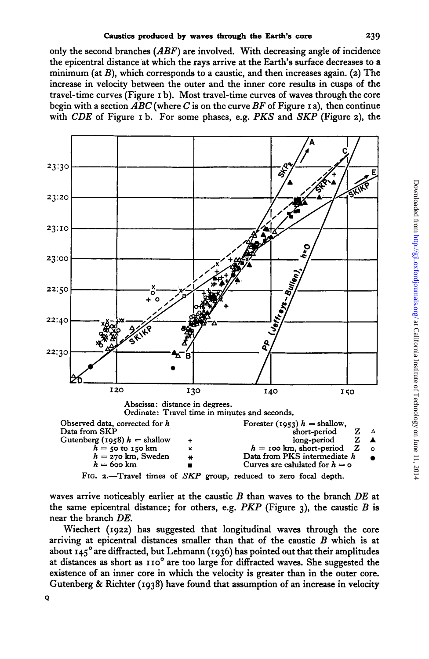only the second branches *(ABF)* are involved. With decreasing angle of incidence the epicentral distance at which the rays arrive at the Earth's surface decreases to **a**  minimum (at *B),* which corresponds to a caustic, and then increases again. **(2)** The increase in velocity between the outer and the inner core results in cusps of the travel-time curves (Figure **I** b). Most travel-time curves of waves through the core begin with **a** section *ABC* (where *C* is on the curve *BF* of Figure **I** a), then continue with *CDE* of Figure **I** b. For some phases, e.g. *PKS* and *SKP* (Figure **2),** the



waves arrive noticeably earlier at the caustic *B* than waves to the branch *DE* at the same epicentral distance; for others, e.g. *PKP* (Figure  $\alpha$ ), the caustic *B* is near the branch *DE.* 

Wiechert **(1922)** has suggested that longitudinal waves through the core arriving at epicentral distances smaller than that of the caustic *B* which is at about **145'** are diffracted, but Lehmann **(1936)** has pointed out that their amplitudes at distances as short as **110'** are too large for diffracted waves. She suggested the existence of an inner core in which the velocity is greater than in the outer core. Gutenberg & Richter **(1938)** have found that assumption of an increase in velocity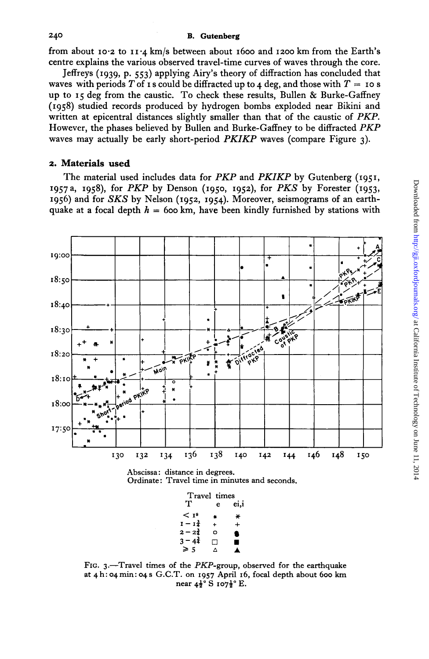from about **10.2** to **11.4** km/s between about **1600** and **1200** km from the Earth's centre explains the various observed travel-time curves of waves through the core.

Jeffreys **(1939,** p. **553)** applying Airy's theory of diffraction has concluded that waves with periods T of **I s** could be diffracted up to 4 deg, and those with  $T = 10$  **s** up to **15** deg from the caustic. To check these results, Bullen & Burke-Gaffney **(1958)** studied records produced by hydrogen bombs exploded near Bikini and written at epicentral distances slightly smaller than that of the caustic of *PKP.*  However, the phases believed by Bullen and Burke-Gaffney to be diffracted *PKP*  waves may actually be early short-period *PKIKP* waves (compare Figure **3).** 

#### **2. Materials used**

The material used includes data for *PKP* and *PKIKP* by Gutenberg **(1951,**  1957a, **1958),** for *PKP* by Denson **(1950, 1952),** for *PKS* by Forester **(1953, 1956)** and for *SKS* by Nelson **(1952, 1954).** Moreover, seismograms of an earthquake at a focal depth  $h = 600$  km, have been kindly furnished by stations with



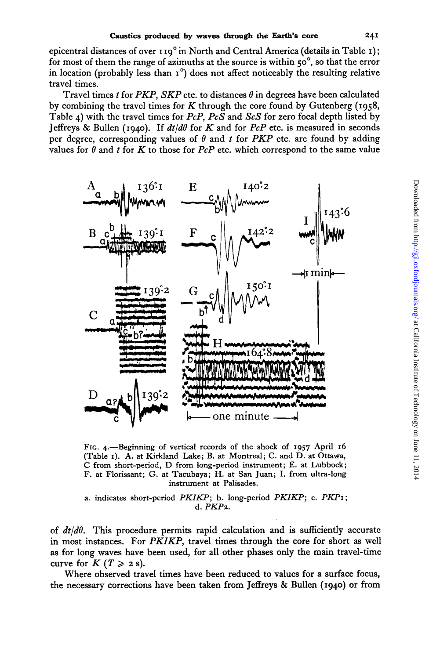epicentral distances of over I **19'** in North and Central America (details in Table **I)** ; for most of them the range of azimuths at the source is within **soo,** so that the error in location (probably less than **1')** does not affect noticeably the resulting relative travel times.

Travel times *t* for *PKP*, *SKP* etc. to distances  $\theta$  in degrees have been calculated by combining the travel times for *K* through the core found by Gutenberg **(1958,**  Table **4)** with the travel times for *PcP, PcS* and *ScS* for zero focal depth listed by Jeffreys & Bullen (1940). If  $dt/d\theta$  for *K* and for *PcP* etc. is measured in seconds per degree, corresponding values of  $\theta$  and  $t$  for *PKP* etc. are found by adding values for  $\theta$  and *t* for *K* to those for *PcP* etc. which correspond to the same value



FIG. +-Beginning of vertical records of the shock of **1957** April *16*  (Table *I).* A. at Kirkland Lake; B. at Montreal; C. and D. at Ottawa, C from short-period, D from long-period instrument; E. at Lubbock; F. at Florissant; G. at Tacubaya; H. at **San** Juan; I. from ultra-long instrument at Palisades.

a. indicates short-period *PKIKP;* b. long-period *PKIKP;* c. *PKPI;*  d. *PKP2.* 

of *&/do.* This procedure permits rapid calculation and is sufficiently accurate in most instances. For *PKIKP,* travel times through the core for short as well as for long waves have been used, for all other phases only the main travel-time curve for  $K$  ( $T \ge 2$  s).

Where observed travel times have been reduced to values for **a** surface focus, the necessary corrections have been taken from Jeffreys & Bullen **(1940) or** from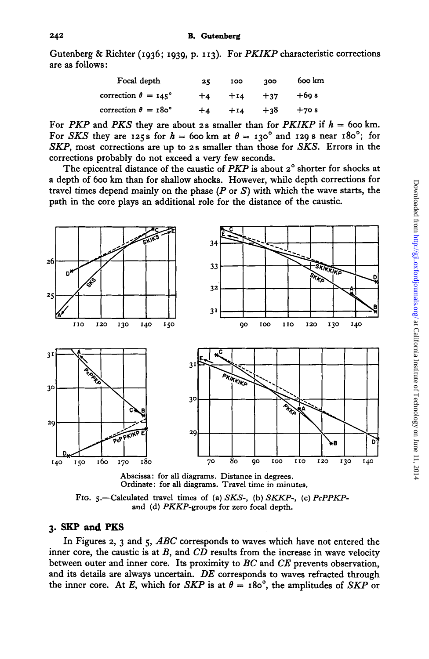Gutenberg & Richter (1936; 1939, p. 113). For *PKIKP* characteristic corrections are as follows:

| Focal depth                     | 25   | 100   | 300   | 600 km |
|---------------------------------|------|-------|-------|--------|
| correction $\theta = 145^\circ$ | $+4$ | $+14$ | $+37$ | $+60s$ |
| correction $\theta = 180^\circ$ | $+4$ | $+14$ | $+38$ | $+70s$ |

For *PKP* and *PKS* they are about 2s smaller than for *PKIKP* if  $h = 600$  km. For *SKS* they are **125s** for  $h = 600 \text{ km at } \theta = 130^{\circ}$  and **129s** near  $180^{\circ}$ ; for *SKP,* most corrections are up to **2s** smaller than those for *SKS.* Errors in the corrections probably do not exceed a very few seconds.

The epicentral distance of the caustic of *PKP* is about *2'* shorter for shocks at a depth of 600 **km** than for shallow shocks. However, while depth corrections for travel times depend mainly on the phase *(P* or *S)* with which the wave starts, the path in the core plays an additional role for the distance of the caustic.



**Abscissa: for all diagrams. Distance in degrees. Ordinate: for all diagrams. Travel time in minutes.** 

FIG. 5.-Calculated travel times of (a) SKS-, (b) SKKP-, (c)  $PcPPKP$ **and (d) PKKP-groups for zero focal depth.** 

# **3. SKP and PKS**

In Figures *2,* 3 and *5, ABC* corresponds to waves which have not entered the inner core, the caustic is at *B,* and *CD* results from the increase in wave velocity between outer and inner core. Its proximity to BC and *CE* prevents observation, and its details are always uncertain. *DE* corresponds to waves refracted through the inner core. At *E*, which for *SKP* is at  $\theta = 180^\circ$ , the amplitudes of *SKP* or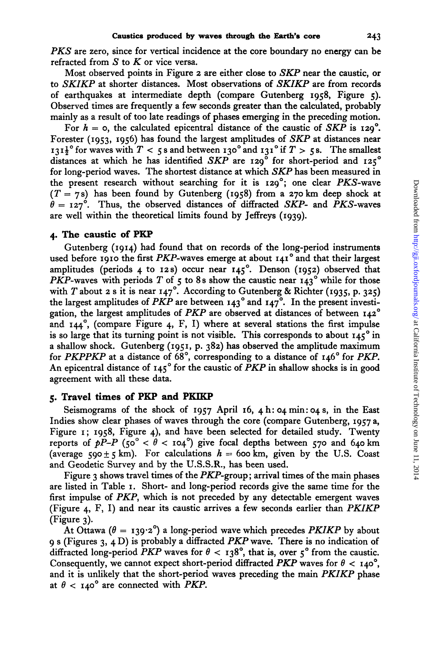PKS are zero, since for vertical incidence at the core boundary no energy can be refracted from *S* to *K* or vice versa.

Most observed points in Figure **2** are either close to SKP near the caustic, or to SKIKP at shorter distances. Most observations of SKIKP are from records of earthquakes at intermediate depth (compare Gutenberg **1958,** Figure *5).*  Observed times are frequently a few seconds greater than the calculated, probably mainly as a result of too late readings of phases emerging in the preceding motion.

For  $h = o$ , the calculated epicentral distance of the caustic of SKP is  $129^\circ$ . Forester **(1953, 1956)** has found the largest amplitudes of SKP at distances near  $131\frac{1}{2}$ <sup>o</sup> for waves with  $T < 5$  s and between  $130^\circ$  and  $131^\circ$  if  $T > 5$  s. The smallest distances at which he has identified SKP are **129'** for short-period and **125'**  for long-period waves. The shortest distance at which SKP has been measured in the present research without searching for it is **129';** one clear PKS-wave (T = **7s)** has been found by Gutenberg **(1958)** from a **270 km** deep shock at  $\theta = 127^\circ$ . Thus, the observed distances of diffracted SKP- and PKS-waves are well within the theoretical limits found by Jeffreys **(1939).** 

### **4. The caustic of PKP**

Gutenberg **(1914)** had found that on records of the long-period instruments used before **1910** the first PKP-waves emerge at about **141'** and that their largest amplitudes (periods **4** to **12s)** occur near **145'.** Denson **(1952)** observed that PKP-waves with periods T of  $\zeta$  to 8s show the caustic near  $143^\circ$  while for those with T about **2 s** it is near **147'.** According to Gutenberg & Richter **(1935,** p. **325)**  the largest amplitudes of PKP are between **143'** and **147'.** In the present investigation, the largest amplitudes of PKP are observed at distances of between **142'**  and  $I44^{\circ}$ , (compare Figure 4, F, I) where at several stations the first impulse is so large that its turning point is not visible. This corresponds to about **145'** in a shallow shock. Gutenberg **(1951,** p. **382)** has observed the amplitude maximum for PKPPKP at a distance of **68',** corresponding to a distance of **146"** for PKP. An epicentral distance of **145'** for the caustic of PKP in shallow shocks is in good agreement with all these data.

# **5. Travel times of PKP and PKIKP**

Seismograms of the shock of **1957** April 16, **4h: 04min:04s,** in the East Indies show clear phases of waves through the core (compare Gutenberg, **1957** a, Figure **I; 1958,** Figure **4),** and have been selected for detailed study. Twenty reports of  $pP-P$  (50<sup>°</sup>  $< \theta$  < 104<sup>°</sup>) give focal depths between 570 and 640 km (average  $590 \pm 5$  km). For calculations  $h = 600$  km, given by the U.S. Coast and Geodetic Survey and by the U.S.S.R., has been used.

Figure **3** shows travel times of the PKP-group; arrival times of the main phases are listed in Table **I.** Short- and long-period records give the same time for the first impulse of PKP, which is not preceded by any detectable emergent waves (Figure **4,** F, I) and near its caustic arrives a few seconds earlier than PKIKP (Figure **3).** 

At Ottawa  $(\theta = 139.2^{\circ})$  a long-period wave which precedes *PKIKP* by about **9 s** (Figures **3, 4** D) is probably a diffracted PKP wave. There is no indication of diffracted long-period PKP waves for  $\theta$  < **138°**, that is, over  $5^{\circ}$  from the caustic. Consequently, we cannot expect short-period diffracted *PKP* waves for  $\theta$  < 140°, and it is unlikely that the short-period waves preceding the main PKIKP phase at  $\theta$  < 140° are connected with PKP.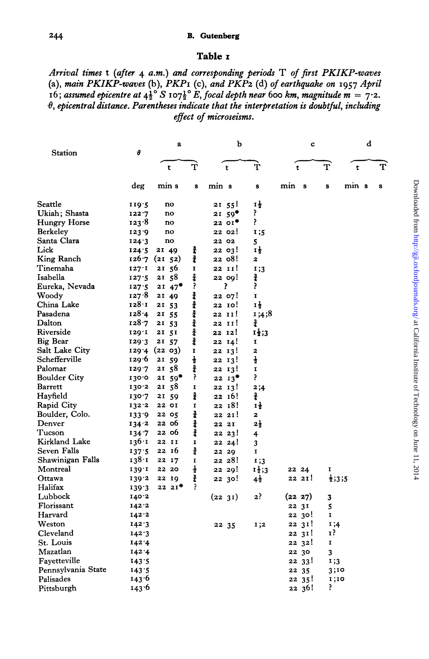#### **B.** Gutenberg

## Table I

Arrival times t (after 4 a.m.) and corresponding periods T of first PKIKP-waves (a), main PKIKP-waves (b), PKP1 (c), and PKP2 (d) of earthquake on 1957 April 16; assumed epicentre at  $4\frac{1}{2}^\circ S$  107 $\frac{1}{2}^\circ E$ , focal depth near 600 km, magnitude m = 7.2.  $\theta$ , epicentral distance. Parentheses indicate that the interpretation is doubtful, including effect of microseisms.

| Station            | θ         | a                    |               | b                    |                         | c           | d                  |       |              |
|--------------------|-----------|----------------------|---------------|----------------------|-------------------------|-------------|--------------------|-------|--------------|
|                    |           | $\mathbf t$          | Ť             | $\mathbf t$          | Ť                       | $\mathbf t$ | $\mathbf{T}$       | t     | $\mathbf{T}$ |
|                    | deg       | min s                | $\mathbf{s}$  | min s                | s                       | min s       | s                  | min s | s            |
| Seattle            | 119.5     | no                   |               | 21 55!               | τŧ                      |             |                    |       |              |
| Ukiah; Shasta      | 122.7     | no                   |               | $21,59$ <sup>*</sup> | ?                       |             |                    |       |              |
| Hungry Horse       | $123 - 8$ | no                   |               | 2201                 | P.                      |             |                    |       |              |
| Berkeley           | 123.9     | no                   |               | 22 02!               | 1;5                     |             |                    |       |              |
| Santa Clara        | 124.3     | no                   |               | 22 02                | 5                       |             |                    |       |              |
| Lick               | 124.5     | 21 49                | ł             | 22 03!               | Ιł                      |             |                    |       |              |
| King Ranch         |           | 126.7(2152)          | ž             | 22 08!               | $\overline{\mathbf{z}}$ |             |                    |       |              |
| Tinemaha           | 127.1     | 21 56                | $\mathbf I$   | 22 II!               | 1;3                     |             |                    |       |              |
| Isabella           | 127:5     | 21 58                | ł             | 22 00!               | 윭                       |             |                    |       |              |
| Eureka, Nevada     | 127.5     | $21,47$ <sup>*</sup> | ?             | r                    | ۶.                      |             |                    |       |              |
| Woody              | 127.8     | 21 49                | ł             | 22 07!               | $\mathbf{I}$            |             |                    |       |              |
| China Lake         | 128 I     | 21 53                | ł             | 22 IO!               | Ιţ                      |             |                    |       |              |
| Pasadena           | 128.4     | 21 55                | ł             | 22 II!               | 1;4;8                   |             |                    |       |              |
| Dalton             | 128.7     | 21 53                | ł             | 22 II!               | ł                       |             |                    |       |              |
| Riverside          | 129.1     | 21 51                | $\frac{3}{4}$ | 22 12!               | $1\frac{1}{2}$ ;3       |             |                    |       |              |
| Big Bear           | 129.3     | 21 57                | $\frac{3}{4}$ | 22 14!               | 1                       |             |                    |       |              |
| Salt Lake City     |           | 129 4 (22 03)        | $\mathbf I$   | 22 13!               | $\overline{\mathbf{2}}$ |             |                    |       |              |
| Schefferville      | 129.6     | 21 59                | $\frac{1}{2}$ | 22 13!               | $\frac{1}{2}$           |             |                    |       |              |
| Palomar            | 129.7     | 21 58                | $\frac{3}{4}$ | 22 13!               | $\mathbf{I}$            |             |                    |       |              |
| Boulder City       | 130.0     | $21,59$ <sup>*</sup> | ?             | $22 \t13$            | P.                      |             |                    |       |              |
| Barrett            | 130.2     | 21 58                | I             | 22 13!               | 2;4                     |             |                    |       |              |
| Hayfield           | 130.7     | 21 59                | ł             | 22 16!               | ł                       |             |                    |       |              |
| Rapid City         | 132.2     | 22 OI                | I             | 22 18!               | Ιł                      |             |                    |       |              |
| Boulder, Colo.     | 133.9     | 22 05                | ł             | 22 21!               | 2                       |             |                    |       |              |
| Denver             | 134.2     | 22 06                | ł             | 22 21                | $2\frac{1}{2}$          |             |                    |       |              |
| Tucson             | 134.7     | 22 06                | $\frac{3}{4}$ | 2223!                | 4                       |             |                    |       |              |
| Kirkland Lake      | 136.1     | 22 II                | I             | 2221                 | 3                       |             |                    |       |              |
| Seven Falls        | 137.5     | 22 16                | ł             | 22 29                | I                       |             |                    |       |              |
| Shawinigan Falls   | 138.1     | 22 17                | I             | 22 28!               | I:3                     |             |                    |       |              |
| Montreal           | 139.1     | 22 20                | ł             | 22 29!               | $1\frac{1}{2}$ ;3       | 22 24       | I                  |       |              |
| Ottawa             | 139.2     | 22 19                | ł             | 22 30!               | $4\frac{1}{2}$          | 22 2I!      | $\frac{1}{2}$ ;3;5 |       |              |
| Halifax            | 139.3     | 2221                 | 3             |                      |                         |             |                    |       |              |
| Lubbock            | 140.2     |                      |               | (22 31)              | ? 2                     | (22 27)     | 3                  |       |              |
| Florissant         | 142.2     |                      |               |                      |                         | 22 31       | 5                  |       |              |
| Harvard            | 142.2     |                      |               |                      |                         | 22 30!      | I                  |       |              |
| Weston             | 142.3     |                      |               | 22 35                | 1;2                     | 22 31!      | 1;4                |       |              |
| Cleveland          | 142.3     |                      |               |                      |                         | 22 31!      | 17                 |       |              |
| St. Louis          | 142.4     |                      |               |                      |                         | 22 32!      | Ι.                 |       |              |
| Mazatlan           | 142.4     |                      |               |                      |                         | 22 30       | 3                  |       |              |
| Fayetteville       | 143.5     |                      |               |                      |                         | 22 33!      | 1;3                |       |              |
| Pennsylvania State | 143.5     |                      |               |                      |                         | 22 35       | 3;10               |       |              |
| Palisades          | 143.6     |                      |               |                      |                         | 22, 35!     | 1;10               |       |              |
| Pittsburgh         | 143.6     |                      |               |                      |                         | 22 36!      | ₹                  |       |              |
|                    |           |                      |               |                      |                         |             |                    |       |              |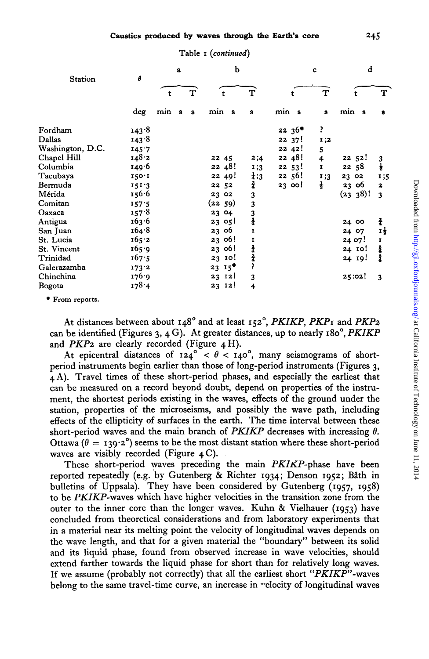| Table I (continued) |  |
|---------------------|--|
|---------------------|--|

| <b>Station</b>   | θ     | a   |              |              | b      |           |                  |       | $\mathbf c$ |               | d      |          |               |
|------------------|-------|-----|--------------|--------------|--------|-----------|------------------|-------|-------------|---------------|--------|----------|---------------|
|                  |       | t   |              | т            |        |           | т                |       |             | т             |        |          | т             |
|                  | deg   | min | $\mathbf{s}$ | $\mathbf{s}$ | min s  |           | s                | min s |             | $\bf{s}$      | min s  |          | 8             |
| Fordham          | 143.8 |     |              |              |        |           |                  |       | $22, 36$ *  | P.            |        |          |               |
| Dallas           | 143.8 |     |              |              |        |           |                  |       | 2237!       | I;2           |        |          |               |
| Washington, D.C. | 145.7 |     |              |              |        |           |                  |       | 22 42!      | 5             |        |          |               |
| Chapel Hill      | 148.2 |     |              |              | 22 45  |           | 2;4              |       | 22 48!      | 4             |        | 22 52!   | 3             |
| Columbia         | 149.6 |     |              |              |        | 22 48!    | 1;3              |       | 22, 53!     | $\mathbf{I}$  | 2258   |          | $\frac{1}{2}$ |
| Tacubaya         | 150.1 |     |              |              |        | 22 49!    | $\frac{1}{4}$ ;3 |       | 22 56!      | 1;3           | 23 02  |          | 1;5           |
| Bermuda          | 151.3 |     |              |              | 22 52  |           | ł                |       | 2300!       | $\frac{1}{2}$ | 23 06  |          | $\mathbf{z}$  |
| Mérida           | 156.6 |     |              |              | 23 02  |           | 3                |       |             |               |        | (23 38)1 | 3             |
| Comitan          | 157.5 |     |              |              | (2259) |           | 3                |       |             |               |        |          |               |
| Oaxaca           | 157.8 |     |              |              | 23 04  |           | 3                |       |             |               |        |          |               |
| Antigua          | 163.6 |     |              |              | 2305!  |           | $\frac{3}{4}$    |       |             |               | 24 00  |          | ł             |
| San Juan         | 164.8 |     |              |              | 23 06  |           | T                |       |             |               | 24 07  |          | Ιł            |
| St. Lucia        | 165.2 |     |              |              | 23 06! |           | 1                |       |             |               | 24 07! |          | I             |
| St. Vincent      | 165.9 |     |              |              | 23 06! |           | 4                |       |             |               |        | 24 10!   | ł             |
| Trinidad         | 167.5 |     |              |              |        | 23 10!    | ł                |       |             |               |        | 24 19!   | ł             |
| Galerazamba      | 173.2 |     |              |              |        | $23 \t15$ |                  |       |             |               |        |          |               |
| Chinchina        | 176.9 |     |              |              |        | 23 12!    | 3                |       |             |               | 25:02! |          | 3             |
| Bogota           | 178.4 |     |              |              | 23 12! |           | 4                |       |             |               |        |          |               |

\* From reports.

At distances between about 148° and at least 152°, PKIKP, PKP1 and PKP2 can be identified (Figures 3, 4 G). At greater distances, up to nearly 180°, PKIKP and  $PKP2$  are clearly recorded (Figure 4 H).

At epicentral distances of  $124^\circ < \theta < 140^\circ$ , many seismograms of shortperiod instruments begin earlier than those of long-period instruments (Figures 3. 4 A). Travel times of these short-period phases, and especially the earliest that can be measured on a record beyond doubt, depend on properties of the instrument, the shortest periods existing in the waves, effects of the ground under the station, properties of the microseisms, and possibly the wave path, including effects of the ellipticity of surfaces in the earth. The time interval between these short-period waves and the main branch of PKIKP decreases with increasing  $\theta$ . Ottawa ( $\theta = 139.2^{\circ}$ ) seems to be the most distant station where these short-period waves are visibly recorded (Figure  $4C$ ).

These short-period waves preceding the main PKIKP-phase have been reported repeatedly (e.g. by Gutenberg & Richter 1934; Denson 1952; Båth in bulletins of Uppsala). They have been considered by Gutenberg (1957, 1958) to be PKIKP-waves which have higher velocities in the transition zone from the outer to the inner core than the longer waves. Kuhn & Vielhauer (1953) have concluded from theoretical considerations and from laboratory experiments that in a material near its melting point the velocity of longitudinal waves depends on the wave length, and that for a given material the "boundary" between its solid and its liquid phase, found from observed increase in wave velocities, should extend farther towards the liquid phase for short than for relatively long waves. If we assume (probably not correctly) that all the earliest short "PKIKP"-waves belong to the same travel-time curve, an increase in velocity of longitudinal waves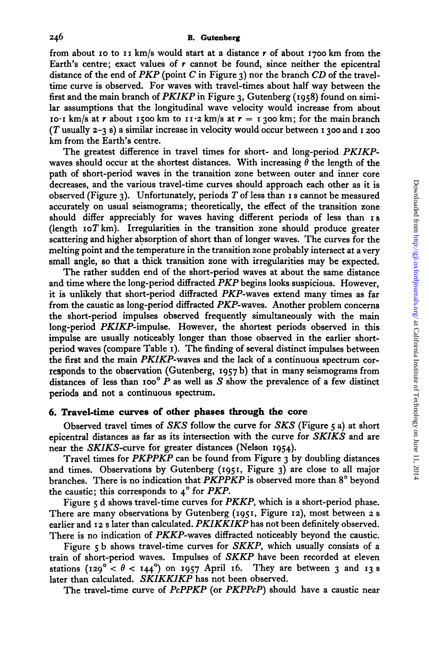from about **10** to 11 km/s would start at a distance *t* of about **1700** km from the Earth's centre; exact values of *t* cannot be found, since neither the epicentral distance of the end of PKP (point *C* in Figure 3) nor the branch *CD* of the traveltime curve is observed. For waves with travel-times about half way between the first and the main branch of PKIKP in Figure 3, Gutenberg **(1958)** found on similar assumptions that the longitudinal wave velocity would increase from about 10.1 km/s at *r* about 1500 km to  $11.2$  km/s at  $r = 1300$  km; for the main branch **(T** usually **2-3 s)** a similar increase in velocity would occur between I 300 and **I** *zoo*  km from the Earth's centre.

The greatest difference in travel times for short- and long-period PKIKPwaves should occur at the shortest distances. With increasing  $\hat{\theta}$  the length of the path of short-period waves in the transition zone between outer and inner core decreases, and the various travel-time curves should approach each other as it is observed (Figure 3). Unfortunately, periods **T** of less than I s cannot be measured accurately on usual seismograms; theoretically, the effect of the transition zone should differ appreciably for waves having different periods of less than **IS**   $\frac{d}{dt}$  (length  $\frac{d}{dt}$  IoT  $km$ ). Irregularities in the transition zone should produce greater scattering and higher absorption of short than of longer waves. The curves for the melting point and the temperature in the transition zone probably intersect at a very small angle, so that a thick transition zone with irregularities may be expected.

The rather sudden end of the short-period waves at about the same distance and time where the long-period diffracted  $PKP$  begins looks suspicious. However, it is unlikely that short-period diffracted PKP-waves extend many times as far from the caustic as long-period diffracted PKP-waves. Another problem concerns the short-period impulses observed frequently simultaneously with the main long-period PKIKP-impulse. However, the shortest periods observed in this impulse are usually noticeably longer than those observed in the earlier shortperiod waves (compare Table I). The finding of several distinct impulses between the first and the main PKIKP-waves and the lack of a continuous spectrum corresponds to the observation (Gutenberg, **1957** b) that in many seismograms from distances of less than  $100^{\circ}$  P as well as S show the prevalence of a few distinct periods **and** not a continuous spectrum.

# **6. Travel-time curves of other phases through the core**

Observed travel times of *SKS* follow the curve for *SKS* (Figure *5* a) at short epicentral distances as far **as** its intersection with the curve for *SKIKS* and are near the SKIKS-curve for greater distances (Nelson **1954).** 

Travel times for PKPPKP can be found from Figure 3 by doubling distances and times. Observations by Gutenberg **(1951,** Figure 3) are close to all major branches. There is no indication that PKPPKP is observed more than **8'** beyond the caustic; this corresponds to **4'** for PKP.

Figure *5* d shows travel-time curves for PKKP, which is a short-period phase. There are many observations by Gutenberg **(1951,** Figure **12),** most between *z* s earlier and **12 s** later than calculated. PKIKKIKP has not been definitely observed. There is no indication of PKKP-waves diffracted noticeably beyond the caustic.

Figure *5* b shows travel-time curves for SKKP, which usually consists of a train of short-period waves. Impulses of SKKP have been recorded at eleven stations  $(129^\circ < \theta < 144^\circ)$  on 1957 April 16. They are between 3 and 13 **s** later than calculated. SKIKKIKP has not been observed.

The travel-time curve of PcPPKP (or PKPPcP) should have a caustic near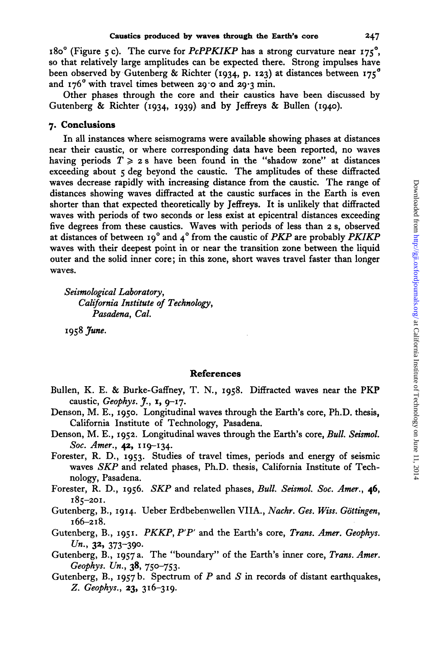180° (Figure 5 c). The curve for *PcPPKIKP* has a strong curvature near 175<sup>°</sup>, so that relatively large amplitudes can be expected there. Strong impulses have been observed by Gutenberg & Richter (1934, p. 123) at distances between  $175^\circ$ and  $176^\circ$  with travel times between 29.0 and 29.3 min.

Other phases through the core and their caustics have been discussed by Gutenberg & Richter (1934, 1939) and by Jeffreys & Bullen (1940).

## **7. Conclusions**

In all instances where seismograms were available showing phases at distances near their caustic, or where corresponding data have been reported, no waves having periods  $T \geq 2$  s have been found in the "shadow zone" at distances exceeding about *5* deg beyond the caustic. The amplitudes of these diffracted waves decrease rapidly with increasing distance from the caustic. The range of distances showing waves diffracted at the caustic surfaces in the Earth is even shorter than that expected theoretically by Jeffreys. It is unlikely that diffracted waves with periods of two seconds or less exist at epicentral distances exceeding five degrees from these caustics. Waves with periods of less than 2 **s,** observed at distances of between 19' and 4' from the caustic of *PKP* are probably *PKIKP*  waves with their deepest point in or near the transition zone between the liquid outer and the solid inner core; in this zone, short waves travel faster than longer waves.

*Seismological Laboratory, California Institute of Technology, Pasadena, Cal.* 

1958 *June.* 

### **References**

- Bullen, **K. E.** & Burke-Gaffney, T. N., 1958. Diffracted waves near the PKP caustic, *Geophys. J.,* **I,** 9-17.
- Denson, M. E., 1950. Longitudinal waves through the Earth's core, Ph.D. thesis, California Institute of Technology, Pasadena.
- Denson, M. E., 1952. Longitudinal waves through the Earth's core, Bull. *Seismol. Soc. Amer.*, 42, 119-134.
- Forester, R. D., 1953. Studies of travel times, periods and energy of seismic waves *SKP* and related phases, Ph.D. thesis, California Institute of Technology, Pasadena.
- Forester, R. D., 1956. *SKP* and related phases, *Bull. Seismol. Soc. Amer.*, 46, **185-201.**
- Gutenberg, B., 1914. Ueber Erdbebenwellen VIIA., *Nachr. Ges. Win. Gottingen,*   $166 - 218.$
- Gutenberg, B., 1951. *PKKP, P'P'* and the Earth's core, *Trans. Amer. Geophys.*   $Un., 32, 373-390.$
- Gutenberg, B., 1957a. The "boundary" of the Earth's inner core, *Trans. Amer. Geophys. Un.,* 38, 750-753.
- Gutenberg, B., 1957 b. Spectrum of *P* and *S* in records of distant earthquakes, Z. *Geophys.*, 23, 316-319.